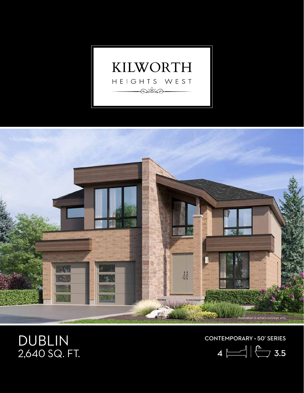



## DUBLIN 2,640 SQ. FT.

CONTEMPORARY • 50' SERIES

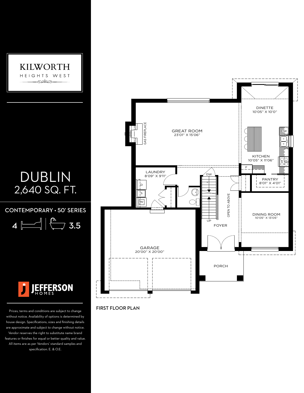

 $\texttt{CONTEMPORARY}\cdot$  50' SERIES

4 3.5 10'01" X 11'6"



Prices, terms and conditions are subject to change without notice. Availability of options is determined by house design. Specifications, sizes and finishing details are approximate and subject to change without notice. Vendor reserves the right to substitute name brand features or finishes for equal or better quality and value. All items are as per Vendors' standard samples and specification. E. & O.E.



FIRST FLOOR PLAN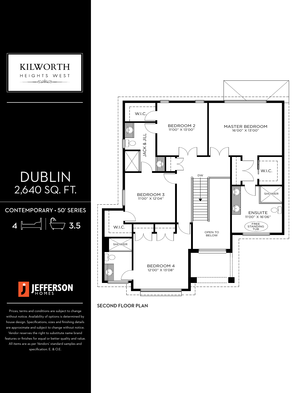

## DUBLIN 2,640 SQ. FT.

## CONTEMPORARY • 50' SERIES  $\overline{C}$

 $4 \sim$  3.5  $1\Box$ 



Prices, terms and conditions are subject to change without notice. Availability of options is determined by house design. Specifications, sizes and finishing details are approximate and subject to change without notice. Vendor reserves the right to substitute name brand features or finishes for equal or better quality and value. All items are as per Vendors' standard samples and specification. E. & O.E.



## SECOND FLOOR PLAN